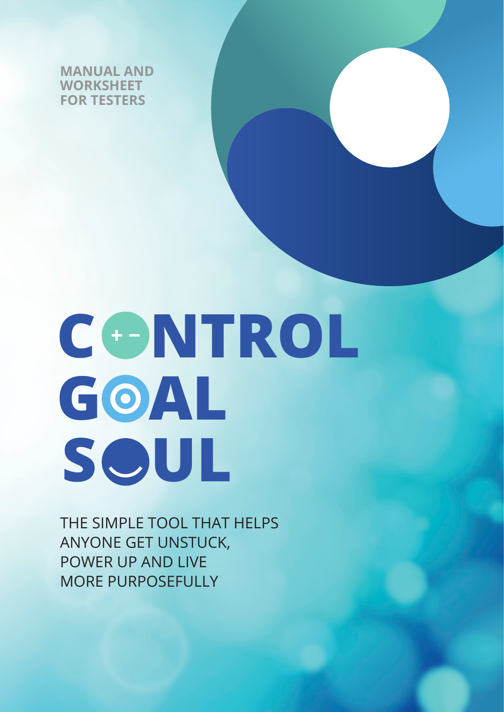**MANUAL AND WORKSHEET FOR TESTERS**

# **C NTROL G AL S UL**

THE SIMPLE TOOL THAT HELPS ANYONE GET UNSTUCK, POWER UP AND LIVE MORE PURPOSEFULLY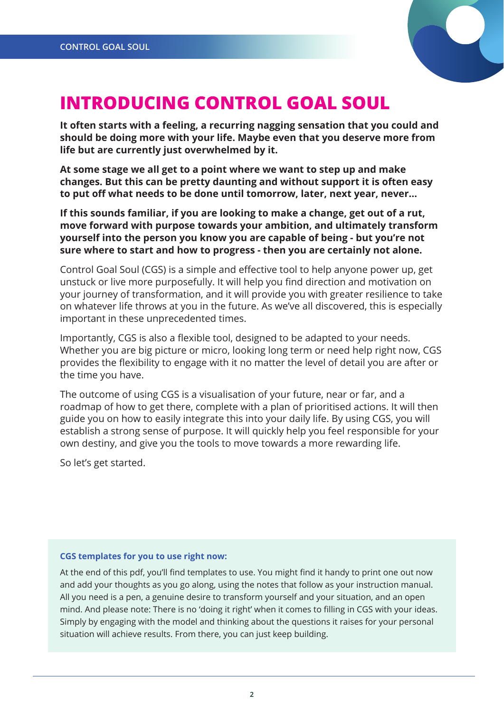

### **INTRODUCING CONTROL GOAL SOUL**

**It often starts with a feeling, a recurring nagging sensation that you could and should be doing more with your life. Maybe even that you deserve more from life but are currently just overwhelmed by it.**

**At some stage we all get to a point where we want to step up and make changes. But this can be pretty daunting and without support it is often easy to put off what needs to be done until tomorrow, later, next year, never…** 

**If this sounds familiar, if you are looking to make a change, get out of a rut, move forward with purpose towards your ambition, and ultimately transform yourself into the person you know you are capable of being - but you're not sure where to start and how to progress - then you are certainly not alone.** 

Control Goal Soul (CGS) is a simple and effective tool to help anyone power up, get unstuck or live more purposefully. It will help you find direction and motivation on your journey of transformation, and it will provide you with greater resilience to take on whatever life throws at you in the future. As we've all discovered, this is especially important in these unprecedented times.

Importantly, CGS is also a flexible tool, designed to be adapted to your needs. Whether you are big picture or micro, looking long term or need help right now, CGS provides the flexibility to engage with it no matter the level of detail you are after or the time you have.

The outcome of using CGS is a visualisation of your future, near or far, and a roadmap of how to get there, complete with a plan of prioritised actions. It will then guide you on how to easily integrate this into your daily life. By using CGS, you will establish a strong sense of purpose. It will quickly help you feel responsible for your own destiny, and give you the tools to move towards a more rewarding life.

So let's get started.

### **CGS templates for you to use right now:**

At the end of this pdf, you'll find templates to use. You might find it handy to print one out now and add your thoughts as you go along, using the notes that follow as your instruction manual. All you need is a pen, a genuine desire to transform yourself and your situation, and an open mind. And please note: There is no 'doing it right' when it comes to filling in CGS with your ideas. Simply by engaging with the model and thinking about the questions it raises for your personal situation will achieve results. From there, you can just keep building.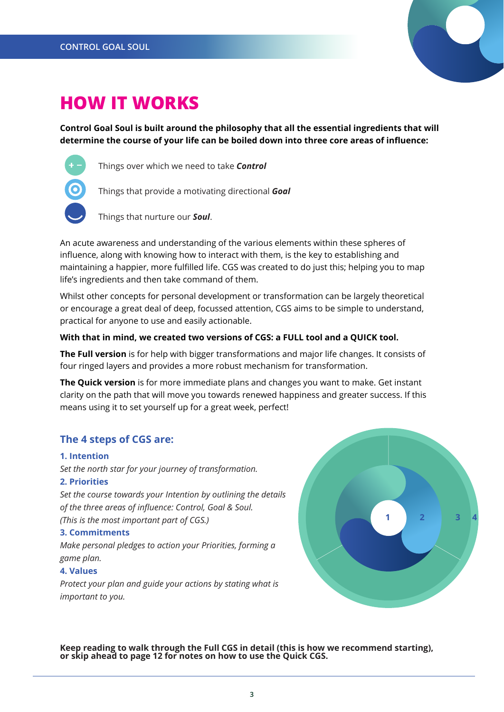

### **HOW IT WORKS**

**Control Goal Soul is built around the philosophy that all the essential ingredients that will determine the course of your life can be boiled down into three core areas of influence:** 



Things over which we need to take *Control*



Things that provide a motivating directional *Goal*

Things that nurture our *Soul*.

An acute awareness and understanding of the various elements within these spheres of influence, along with knowing how to interact with them, is the key to establishing and maintaining a happier, more fulfilled life. CGS was created to do just this; helping you to map life's ingredients and then take command of them.

Whilst other concepts for personal development or transformation can be largely theoretical or encourage a great deal of deep, focussed attention, CGS aims to be simple to understand, practical for anyone to use and easily actionable.

### **With that in mind, we created two versions of CGS: a FULL tool and a QUICK tool.**

**The Full version** is for help with bigger transformations and major life changes. It consists of four ringed layers and provides a more robust mechanism for transformation.

**The Quick version** is for more immediate plans and changes you want to make. Get instant clarity on the path that will move you towards renewed happiness and greater success. If this means using it to set yourself up for a great week, perfect!

### **The 4 steps of CGS are:**

#### **1. Intention**

*Set the north star for your journey of transformation.*

#### **2. Priorities**

*Set the course towards your Intention by outlining the details of the three areas of influence: Control, Goal & Soul. (This is the most important part of CGS.)*

#### **3. Commitments**

*Make personal pledges to action your Priorities, forming a game plan.*

### **4. Values**

*Protect your plan and guide your actions by stating what is important to you.*



**Keep reading to walk through the Full CGS in detail (this is how we recommend starting), or skip ahead to page 12 for notes on how to use the Quick CGS.**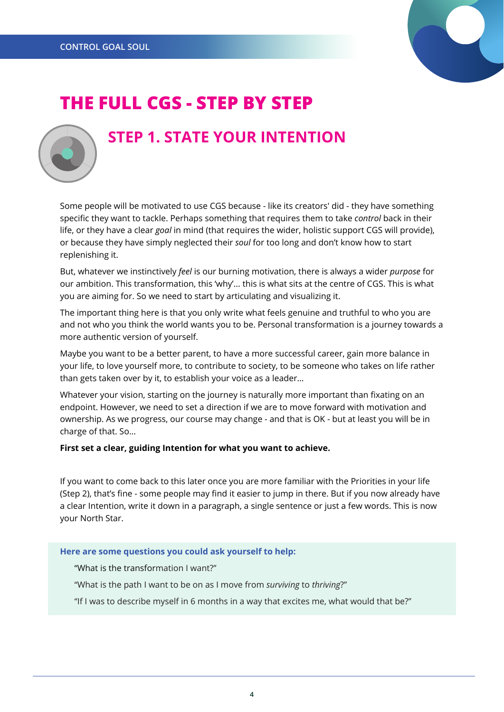

### **THE FULL CGS - STEP BY STEP**

### **STEP 1. STATE YOUR INTENTION**

Some people will be motivated to use CGS because - like its creators' did - they have something specific they want to tackle. Perhaps something that requires them to take *control* back in their life, or they have a clear *goal* in mind (that requires the wider, holistic support CGS will provide), or because they have simply neglected their *soul* for too long and don't know how to start replenishing it.

But, whatever we instinctively *feel* is our burning motivation, there is always a wider *purpose* for our ambition. This transformation, this 'why'... this is what sits at the centre of CGS. This is what you are aiming for. So we need to start by articulating and visualizing it.

The important thing here is that you only write what feels genuine and truthful to who you are and not who you think the world wants you to be. Personal transformation is a journey towards a more authentic version of yourself.

Maybe you want to be a better parent, to have a more successful career, gain more balance in your life, to love yourself more, to contribute to society, to be someone who takes on life rather than gets taken over by it, to establish your voice as a leader…

Whatever your vision, starting on the journey is naturally more important than fixating on an endpoint. However, we need to set a direction if we are to move forward with motivation and ownership. As we progress, our course may change - and that is OK - but at least you will be in charge of that. So…

### **First set a clear, guiding Intention for what you want to achieve.**

If you want to come back to this later once you are more familiar with the Priorities in your life (Step 2), that's fine - some people may find it easier to jump in there. But if you now already have a clear Intention, write it down in a paragraph, a single sentence or just a few words. This is now your North Star.

### **Here are some questions you could ask yourself to help:**

"What is the transformation I want?"

- "What is the path I want to be on as I move from *surviving* to *thriving*?"
- "If I was to describe myself in 6 months in a way that excites me, what would that be?"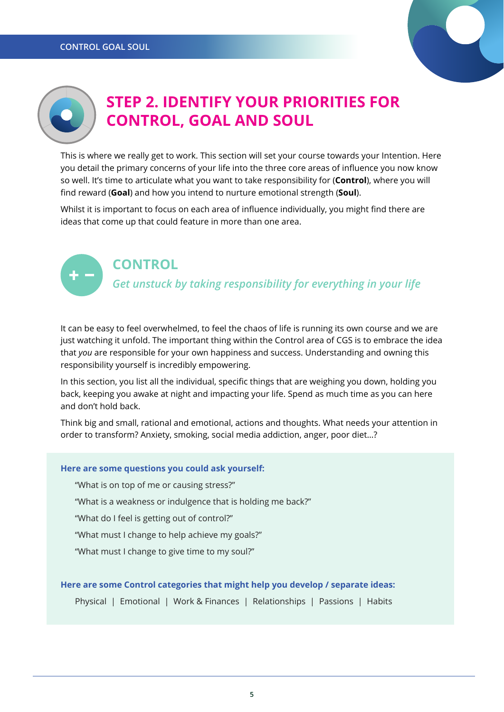



### **STEP 2. IDENTIFY YOUR PRIORITIES FOR CONTROL, GOAL AND SOUL**

This is where we really get to work. This section will set your course towards your Intention. Here you detail the primary concerns of your life into the three core areas of influence you now know so well. It's time to articulate what you want to take responsibility for (**Control**), where you will find reward (**Goal**) and how you intend to nurture emotional strength (**Soul**).

Whilst it is important to focus on each area of influence individually, you might find there are ideas that come up that could feature in more than one area.

### **CONTROL**

*Get unstuck by taking responsibility for everything in your life*

It can be easy to feel overwhelmed, to feel the chaos of life is running its own course and we are just watching it unfold. The important thing within the Control area of CGS is to embrace the idea that *you* are responsible for your own happiness and success. Understanding and owning this responsibility yourself is incredibly empowering.

In this section, you list all the individual, specific things that are weighing you down, holding you back, keeping you awake at night and impacting your life. Spend as much time as you can here and don't hold back.

Think big and small, rational and emotional, actions and thoughts. What needs your attention in order to transform? Anxiety, smoking, social media addiction, anger, poor diet…?

### **Here are some questions you could ask yourself:**

"What is on top of me or causing stress?"

"What is a weakness or indulgence that is holding me back?"

"What do I feel is getting out of control?"

"What must I change to help achieve my goals?"

"What must I change to give time to my soul?"

### **Here are some Control categories that might help you develop / separate ideas:**

Physical | Emotional | Work & Finances | Relationships | Passions | Habits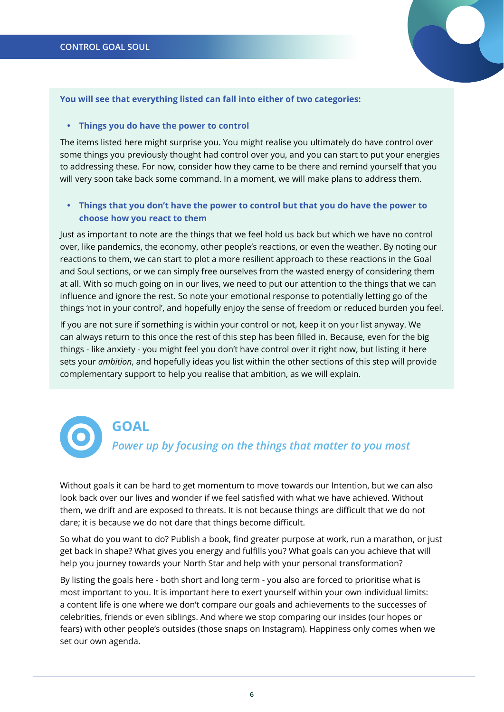

**You will see that everything listed can fall into either of two categories:**

#### **• Things you do have the power to control**

The items listed here might surprise you. You might realise you ultimately do have control over some things you previously thought had control over you, and you can start to put your energies to addressing these. For now, consider how they came to be there and remind yourself that you will very soon take back some command. In a moment, we will make plans to address them.

### **• Things that you don't have the power to control but that you do have the power to choose how you react to them**

Just as important to note are the things that we feel hold us back but which we have no control over, like pandemics, the economy, other people's reactions, or even the weather. By noting our reactions to them, we can start to plot a more resilient approach to these reactions in the Goal and Soul sections, or we can simply free ourselves from the wasted energy of considering them at all. With so much going on in our lives, we need to put our attention to the things that we can influence and ignore the rest. So note your emotional response to potentially letting go of the things 'not in your control', and hopefully enjoy the sense of freedom or reduced burden you feel.

If you are not sure if something is within your control or not, keep it on your list anyway. We can always return to this once the rest of this step has been filled in. Because, even for the big things - like anxiety - you might feel you don't have control over it right now, but listing it here sets your *ambition*, and hopefully ideas you list within the other sections of this step will provide complementary support to help you realise that ambition, as we will explain.

### **GOAL**  *Power up by focusing on the things that matter to you most*

Without goals it can be hard to get momentum to move towards our Intention, but we can also look back over our lives and wonder if we feel satisfied with what we have achieved. Without them, we drift and are exposed to threats. It is not because things are difficult that we do not dare; it is because we do not dare that things become difficult.

So what do you want to do? Publish a book, find greater purpose at work, run a marathon, or just get back in shape? What gives you energy and fulfills you? What goals can you achieve that will help you journey towards your North Star and help with your personal transformation?

By listing the goals here - both short and long term - you also are forced to prioritise what is most important to you. It is important here to exert yourself within your own individual limits: a content life is one where we don't compare our goals and achievements to the successes of celebrities, friends or even siblings. And where we stop comparing our insides (our hopes or fears) with other people's outsides (those snaps on Instagram). Happiness only comes when we set our own agenda.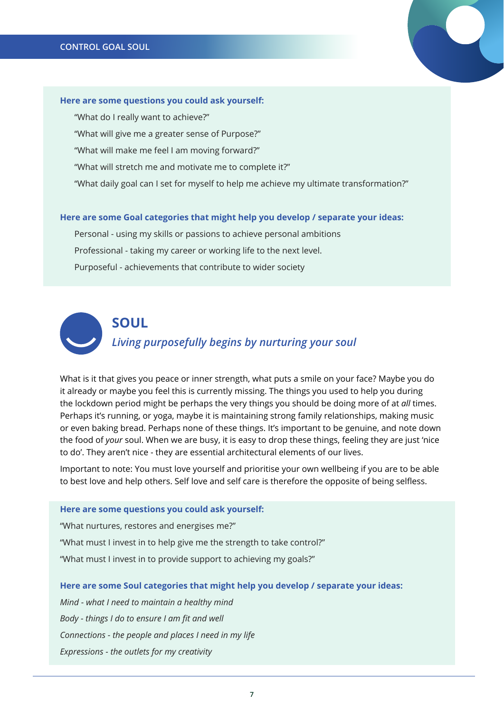

#### **Here are some questions you could ask yourself:**

- "What do I really want to achieve?"
- "What will give me a greater sense of Purpose?"
- "What will make me feel I am moving forward?"
- "What will stretch me and motivate me to complete it?"
- "What daily goal can I set for myself to help me achieve my ultimate transformation?"

#### **Here are some Goal categories that might help you develop / separate your ideas:**

Personal - using my skills or passions to achieve personal ambitions Professional - taking my career or working life to the next level. Purposeful - achievements that contribute to wider society



What is it that gives you peace or inner strength, what puts a smile on your face? Maybe you do it already or maybe you feel this is currently missing. The things you used to help you during the lockdown period might be perhaps the very things you should be doing more of at *all* times. Perhaps it's running, or yoga, maybe it is maintaining strong family relationships, making music or even baking bread. Perhaps none of these things. It's important to be genuine, and note down the food of *your* soul. When we are busy, it is easy to drop these things, feeling they are just 'nice to do'. They aren't nice - they are essential architectural elements of our lives.

Important to note: You must love yourself and prioritise your own wellbeing if you are to be able to best love and help others. Self love and self care is therefore the opposite of being selfless.

**Here are some questions you could ask yourself:** 

"What nurtures, restores and energises me?"

"What must I invest in to help give me the strength to take control?"

"What must I invest in to provide support to achieving my goals?"

#### **Here are some Soul categories that might help you develop / separate your ideas:**

*Mind - what I need to maintain a healthy mind Body - things I do to ensure I am fit and well Connections - the people and places I need in my life Expressions - the outlets for my creativity*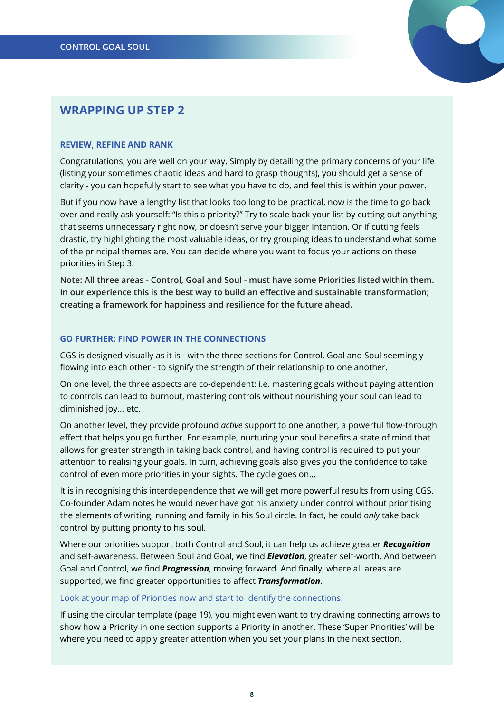

### **WRAPPING UP STEP 2**

#### **REVIEW, REFINE AND RANK**

Congratulations, you are well on your way. Simply by detailing the primary concerns of your life (listing your sometimes chaotic ideas and hard to grasp thoughts), you should get a sense of clarity - you can hopefully start to see what you have to do, and feel this is within your power.

But if you now have a lengthy list that looks too long to be practical, now is the time to go back over and really ask yourself: "Is this a priority?" Try to scale back your list by cutting out anything that seems unnecessary right now, or doesn't serve your bigger Intention. Or if cutting feels drastic, try highlighting the most valuable ideas, or try grouping ideas to understand what some of the principal themes are. You can decide where you want to focus your actions on these priorities in Step 3.

**Note: All three areas - Control, Goal and Soul - must have some Priorities listed within them. In our experience this is the best way to build an effective and sustainable transformation; creating a framework for happiness and resilience for the future ahead.**

### **GO FURTHER: FIND POWER IN THE CONNECTIONS**

CGS is designed visually as it is - with the three sections for Control, Goal and Soul seemingly flowing into each other - to signify the strength of their relationship to one another.

On one level, the three aspects are co-dependent: i.e. mastering goals without paying attention to controls can lead to burnout, mastering controls without nourishing your soul can lead to diminished joy… etc.

On another level, they provide profound *active* support to one another, a powerful flow-through effect that helps you go further. For example, nurturing your soul benefits a state of mind that allows for greater strength in taking back control, and having control is required to put your attention to realising your goals. In turn, achieving goals also gives you the confidence to take control of even more priorities in your sights. The cycle goes on...

It is in recognising this interdependence that we will get more powerful results from using CGS. Co-founder Adam notes he would never have got his anxiety under control without prioritising the elements of writing, running and family in his Soul circle. In fact, he could *only* take back control by putting priority to his soul.

Where our priorities support both Control and Soul, it can help us achieve greater *Recognition* and self-awareness. Between Soul and Goal, we find *Elevation*, greater self-worth. And between Goal and Control, we find *Progression*, moving forward. And finally, where all areas are supported, we find greater opportunities to affect *Transformation*.

#### Look at your map of Priorities now and start to identify the connections.

If using the circular template (page 19), you might even want to try drawing connecting arrows to show how a Priority in one section supports a Priority in another. These 'Super Priorities' will be where you need to apply greater attention when you set your plans in the next section.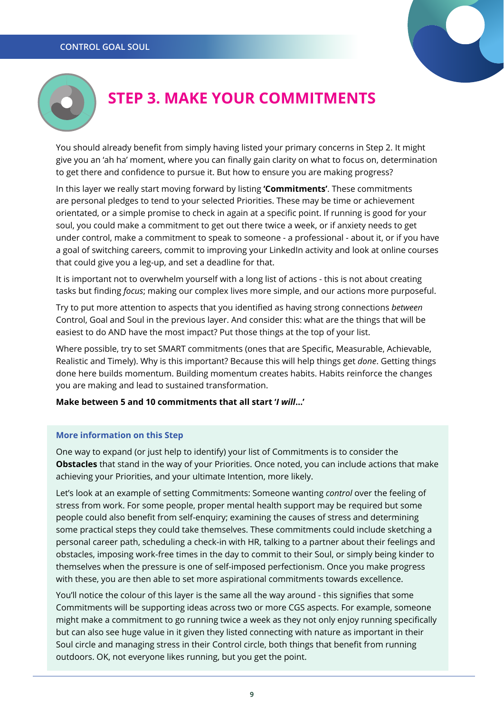### **CONTROL GOAL SOUL**



### **STEP 3. MAKE YOUR COMMITMENTS**

You should already benefit from simply having listed your primary concerns in Step 2. It might give you an 'ah ha' moment, where you can finally gain clarity on what to focus on, determination to get there and confidence to pursue it. But how to ensure you are making progress?

In this layer we really start moving forward by listing **'Commitments'**. These commitments are personal pledges to tend to your selected Priorities. These may be time or achievement orientated, or a simple promise to check in again at a specific point. If running is good for your soul, you could make a commitment to get out there twice a week, or if anxiety needs to get under control, make a commitment to speak to someone - a professional - about it, or if you have a goal of switching careers, commit to improving your LinkedIn activity and look at online courses that could give you a leg-up, and set a deadline for that.

It is important not to overwhelm yourself with a long list of actions - this is not about creating tasks but finding *focus*; making our complex lives more simple, and our actions more purposeful.

Try to put more attention to aspects that you identified as having strong connections *between* Control, Goal and Soul in the previous layer. And consider this: what are the things that will be easiest to do AND have the most impact? Put those things at the top of your list.

Where possible, try to set SMART commitments (ones that are Specific, Measurable, Achievable, Realistic and Timely). Why is this important? Because this will help things get *done*. Getting things done here builds momentum. Building momentum creates habits. Habits reinforce the changes you are making and lead to sustained transformation.

#### **Make between 5 and 10 commitments that all start '***I will***…'**

#### **More information on this Step**

One way to expand (or just help to identify) your list of Commitments is to consider the **Obstacles** that stand in the way of your Priorities. Once noted, you can include actions that make achieving your Priorities, and your ultimate Intention, more likely.

Let's look at an example of setting Commitments: Someone wanting *control* over the feeling of stress from work. For some people, proper mental health support may be required but some people could also benefit from self-enquiry; examining the causes of stress and determining some practical steps they could take themselves. These commitments could include sketching a personal career path, scheduling a check-in with HR, talking to a partner about their feelings and obstacles, imposing work-free times in the day to commit to their Soul, or simply being kinder to themselves when the pressure is one of self-imposed perfectionism. Once you make progress with these, you are then able to set more aspirational commitments towards excellence.

You'll notice the colour of this layer is the same all the way around - this signifies that some Commitments will be supporting ideas across two or more CGS aspects. For example, someone might make a commitment to go running twice a week as they not only enjoy running specifically but can also see huge value in it given they listed connecting with nature as important in their Soul circle and managing stress in their Control circle, both things that benefit from running outdoors. OK, not everyone likes running, but you get the point.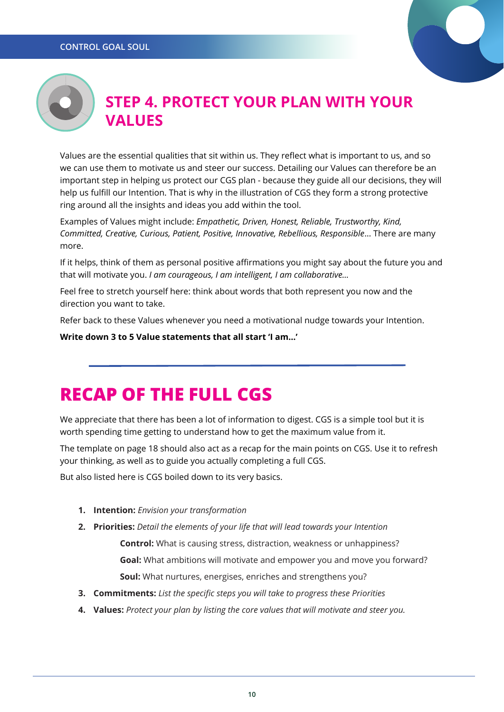

### **STEP 4. PROTECT YOUR PLAN WITH YOUR VALUES**

Values are the essential qualities that sit within us. They reflect what is important to us, and so we can use them to motivate us and steer our success. Detailing our Values can therefore be an important step in helping us protect our CGS plan - because they guide all our decisions, they will help us fulfill our Intention. That is why in the illustration of CGS they form a strong protective ring around all the insights and ideas you add within the tool.

Examples of Values might include: *Empathetic, Driven, Honest, Reliable, Trustworthy, Kind, Committed, Creative, Curious, Patient, Positive, Innovative, Rebellious, Responsible*… There are many more.

If it helps, think of them as personal positive affirmations you might say about the future you and that will motivate you. *I am courageous, I am intelligent, I am collaborative...*

Feel free to stretch yourself here: think about words that both represent you now and the direction you want to take.

Refer back to these Values whenever you need a motivational nudge towards your Intention.

**Write down 3 to 5 Value statements that all start 'I am…'**

### **RECAP OF THE FULL CGS**

We appreciate that there has been a lot of information to digest. CGS is a simple tool but it is worth spending time getting to understand how to get the maximum value from it.

The template on page 18 should also act as a recap for the main points on CGS. Use it to refresh your thinking, as well as to guide you actually completing a full CGS.

But also listed here is CGS boiled down to its very basics.

- **1. Intention:** *Envision your transformation*
- **2. Priorities:** *Detail the elements of your life that will lead towards your Intention* **Control:** What is causing stress, distraction, weakness or unhappiness? **Goal:** What ambitions will motivate and empower you and move you forward? **Soul:** What nurtures, energises, enriches and strengthens you?
- **3. Commitments:** *List the specific steps you will take to progress these Priorities*
- **4. Values:** *Protect your plan by listing the core values that will motivate and steer you.*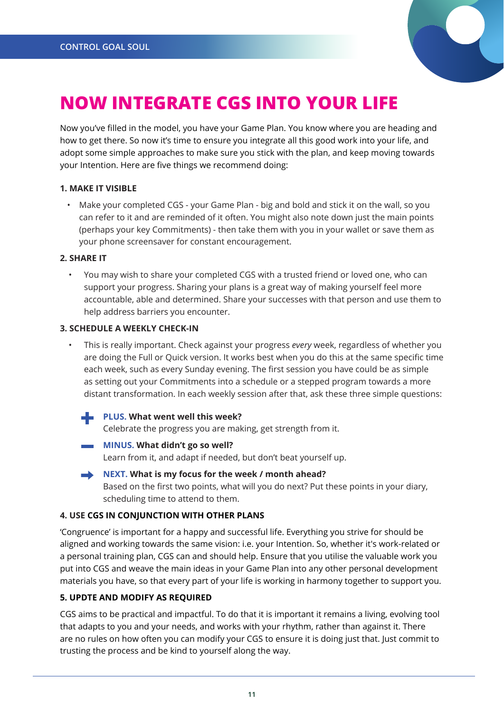

### **NOW INTEGRATE CGS INTO YOUR LIFE**

Now you've filled in the model, you have your Game Plan. You know where you are heading and how to get there. So now it's time to ensure you integrate all this good work into your life, and adopt some simple approaches to make sure you stick with the plan, and keep moving towards your Intention. Here are five things we recommend doing:

### **1. MAKE IT VISIBLE**

• Make your completed CGS - your Game Plan - big and bold and stick it on the wall, so you can refer to it and are reminded of it often. You might also note down just the main points (perhaps your key Commitments) - then take them with you in your wallet or save them as your phone screensaver for constant encouragement.

### **2. SHARE IT**

• You may wish to share your completed CGS with a trusted friend or loved one, who can support your progress. Sharing your plans is a great way of making yourself feel more accountable, able and determined. Share your successes with that person and use them to help address barriers you encounter.

### **3. SCHEDULE A WEEKLY CHECK-IN**

- This is really important. Check against your progress *every* week, regardless of whether you are doing the Full or Quick version. It works best when you do this at the same specific time each week, such as every Sunday evening. The first session you have could be as simple as setting out your Commitments into a schedule or a stepped program towards a more distant transformation. In each weekly session after that, ask these three simple questions:
	- **PLUS. What went well this week?** Celebrate the progress you are making, get strength from it.
	- **MINUS. What didn't go so well?** Learn from it, and adapt if needed, but don't beat yourself up.
	- **NEXT. What is my focus for the week / month ahead?**  Based on the first two points, what will you do next? Put these points in your diary, scheduling time to attend to them.

### **4. USE CGS IN CONJUNCTION WITH OTHER PLANS**

'Congruence' is important for a happy and successful life. Everything you strive for should be aligned and working towards the same vision: i.e. your Intention. So, whether it's work-related or a personal training plan, CGS can and should help. Ensure that you utilise the valuable work you put into CGS and weave the main ideas in your Game Plan into any other personal development materials you have, so that every part of your life is working in harmony together to support you.

### **5. UPDTE AND MODIFY AS REQUIRED**

CGS aims to be practical and impactful. To do that it is important it remains a living, evolving tool that adapts to you and your needs, and works with your rhythm, rather than against it. There are no rules on how often you can modify your CGS to ensure it is doing just that. Just commit to trusting the process and be kind to yourself along the way.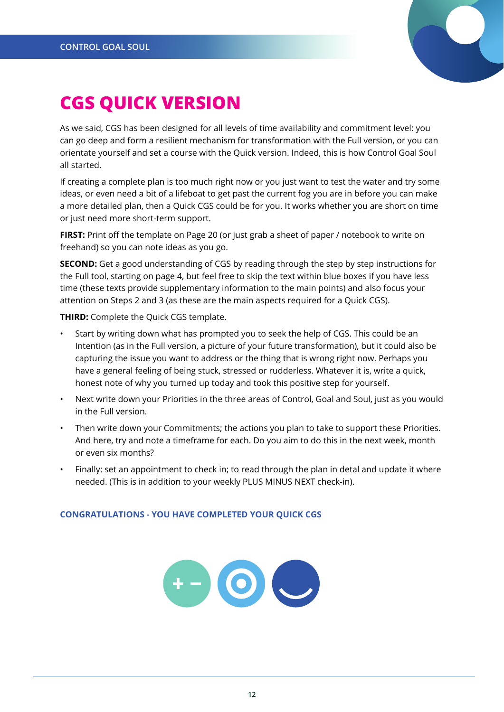

### **CGS QUICK VERSION**

As we said, CGS has been designed for all levels of time availability and commitment level: you can go deep and form a resilient mechanism for transformation with the Full version, or you can orientate yourself and set a course with the Quick version. Indeed, this is how Control Goal Soul all started.

If creating a complete plan is too much right now or you just want to test the water and try some ideas, or even need a bit of a lifeboat to get past the current fog you are in before you can make a more detailed plan, then a Quick CGS could be for you. It works whether you are short on time or just need more short-term support.

**FIRST:** Print off the template on Page 20 (or just grab a sheet of paper / notebook to write on freehand) so you can note ideas as you go.

**SECOND:** Get a good understanding of CGS by reading through the step by step instructions for the Full tool, starting on page 4, but feel free to skip the text within blue boxes if you have less time (these texts provide supplementary information to the main points) and also focus your attention on Steps 2 and 3 (as these are the main aspects required for a Quick CGS).

**THIRD:** Complete the Quick CGS template.

- Start by writing down what has prompted you to seek the help of CGS. This could be an Intention (as in the Full version, a picture of your future transformation), but it could also be capturing the issue you want to address or the thing that is wrong right now. Perhaps you have a general feeling of being stuck, stressed or rudderless. Whatever it is, write a quick, honest note of why you turned up today and took this positive step for yourself.
- Next write down your Priorities in the three areas of Control, Goal and Soul, just as you would in the Full version.
- Then write down your Commitments; the actions you plan to take to support these Priorities. And here, try and note a timeframe for each. Do you aim to do this in the next week, month or even six months?
- Finally: set an appointment to check in; to read through the plan in detal and update it where needed. (This is in addition to your weekly PLUS MINUS NEXT check-in).

### **CONGRATULATIONS - YOU HAVE COMPLETED YOUR QUICK CGS**

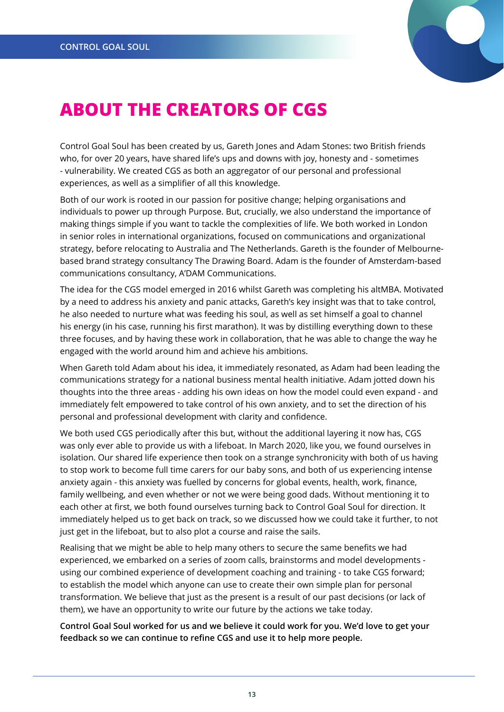

### **ABOUT THE CREATORS OF CGS**

Control Goal Soul has been created by us, Gareth Jones and Adam Stones: two British friends who, for over 20 years, have shared life's ups and downs with joy, honesty and - sometimes - vulnerability. We created CGS as both an aggregator of our personal and professional experiences, as well as a simplifier of all this knowledge.

Both of our work is rooted in our passion for positive change; helping organisations and individuals to power up through Purpose. But, crucially, we also understand the importance of making things simple if you want to tackle the complexities of life. We both worked in London in senior roles in international organizations, focused on communications and organizational strategy, before relocating to Australia and The Netherlands. Gareth is the founder of Melbournebased brand strategy consultancy The Drawing Board. Adam is the founder of Amsterdam-based communications consultancy, A'DAM Communications.

The idea for the CGS model emerged in 2016 whilst Gareth was completing his altMBA. Motivated by a need to address his anxiety and panic attacks, Gareth's key insight was that to take control, he also needed to nurture what was feeding his soul, as well as set himself a goal to channel his energy (in his case, running his first marathon). It was by distilling everything down to these three focuses, and by having these work in collaboration, that he was able to change the way he engaged with the world around him and achieve his ambitions.

When Gareth told Adam about his idea, it immediately resonated, as Adam had been leading the communications strategy for a national business mental health initiative. Adam jotted down his thoughts into the three areas - adding his own ideas on how the model could even expand - and immediately felt empowered to take control of his own anxiety, and to set the direction of his personal and professional development with clarity and confidence.

We both used CGS periodically after this but, without the additional layering it now has, CGS was only ever able to provide us with a lifeboat. In March 2020, like you, we found ourselves in isolation. Our shared life experience then took on a strange synchronicity with both of us having to stop work to become full time carers for our baby sons, and both of us experiencing intense anxiety again - this anxiety was fuelled by concerns for global events, health, work, finance, family wellbeing, and even whether or not we were being good dads. Without mentioning it to each other at first, we both found ourselves turning back to Control Goal Soul for direction. It immediately helped us to get back on track, so we discussed how we could take it further, to not just get in the lifeboat, but to also plot a course and raise the sails.

Realising that we might be able to help many others to secure the same benefits we had experienced, we embarked on a series of zoom calls, brainstorms and model developments using our combined experience of development coaching and training - to take CGS forward; to establish the model which anyone can use to create their own simple plan for personal transformation. We believe that just as the present is a result of our past decisions (or lack of them), we have an opportunity to write our future by the actions we take today.

**Control Goal Soul worked for us and we believe it could work for you. We'd love to get your feedback so we can continue to refine CGS and use it to help more people.**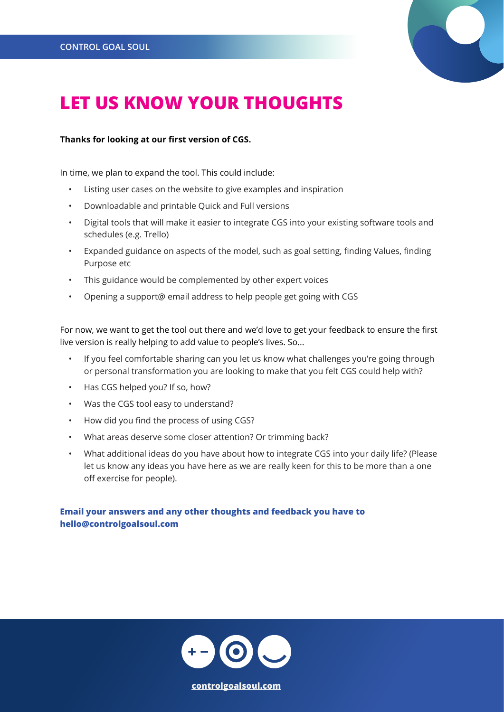

### **LET US KNOW YOUR THOUGHTS**

### **Thanks for looking at our first version of CGS.**

In time, we plan to expand the tool. This could include:

- Listing user cases on the website to give examples and inspiration
- Downloadable and printable Quick and Full versions
- Digital tools that will make it easier to integrate CGS into your existing software tools and schedules (e.g. Trello)
- Expanded guidance on aspects of the model, such as goal setting, finding Values, finding Purpose etc
- This guidance would be complemented by other expert voices
- Opening a support@ email address to help people get going with CGS

For now, we want to get the tool out there and we'd love to get your feedback to ensure the first live version is really helping to add value to people's lives. So...

- If you feel comfortable sharing can you let us know what challenges you're going through or personal transformation you are looking to make that you felt CGS could help with?
- Has CGS helped you? If so, how?
- Was the CGS tool easy to understand?
- How did you find the process of using CGS?
- What areas deserve some closer attention? Or trimming back?
- What additional ideas do you have about how to integrate CGS into your daily life? (Please let us know any ideas you have here as we are really keen for this to be more than a one off exercise for people).

### **Email your answers and any other thoughts and feedback you have to hello@controlgoalsoul.com**

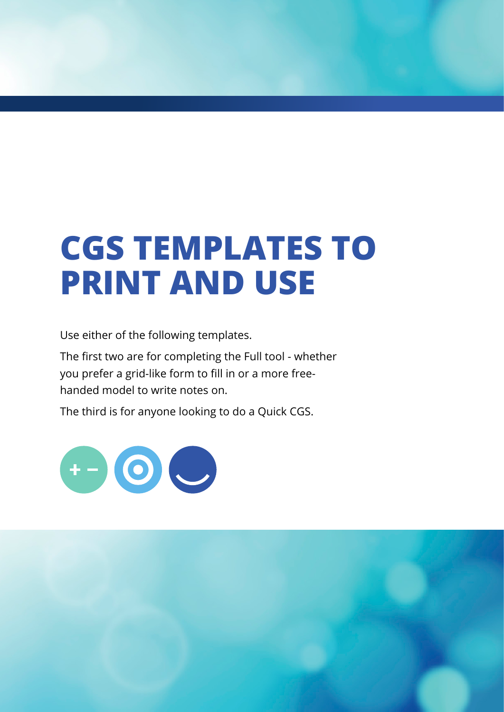## **CGS TEMPLATES TO PRINT AND USE**

Use either of the following templates.

The first two are for completing the Full tool - whether you prefer a grid-like form to fill in or a more freehanded model to write notes on.

The third is for anyone looking to do a Quick CGS.



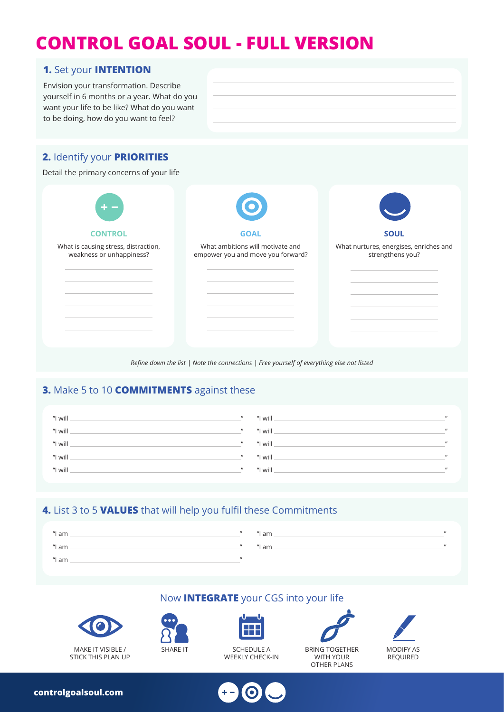### **CONTROL GOAL SOUL - FULL VERSION**

### **1.** Set your **INTENTION**

Envision your transformation. Des yourself in 6 months or a year. Wh want your life to be like? What do to be doing, how do you want to f

### **2.** Identify your **PRIORITIES**

### Detail the primary concerns of your life

|                                                                  | $\odot$                                                               |                                                            |
|------------------------------------------------------------------|-----------------------------------------------------------------------|------------------------------------------------------------|
| <b>CONTROL</b>                                                   | <b>GOAL</b>                                                           | <b>SOUL</b>                                                |
| What is causing stress, distraction,<br>weakness or unhappiness? | What ambitions will motivate and<br>empower you and move you forward? | What nurtures, energises, enriches and<br>strengthens you? |
|                                                                  |                                                                       |                                                            |
|                                                                  |                                                                       |                                                            |
|                                                                  |                                                                       |                                                            |
|                                                                  |                                                                       |                                                            |
|                                                                  |                                                                       |                                                            |
|                                                                  |                                                                       |                                                            |

*Refine down the list | Note the connections | Free yourself of everything else not listed*

### **3.** Make 5 to 10 **COMMITMENTS** against these



### **4.** List 3 to 5 **VALUES** that will help you fulfil these Commitments

| " $\mathsf{l}$ am    |                   | _"  "I am _ | $^{\prime\prime}$ |
|----------------------|-------------------|-------------|-------------------|
| $^{\prime\prime}$ am |                   | _"  "I am _ | $^{\prime\prime}$ |
| " $\mathsf{l}$ am    | $^{\prime\prime}$ |             |                   |

### Now **INTEGRATE** your CGS into your life







SCHEDULE A WEEKLY CHECK-IN SHARE IT SCHEDULE A BRING TOGETHER



WITH YOUR OTHER PLANS



**controlgoalsoul.com**

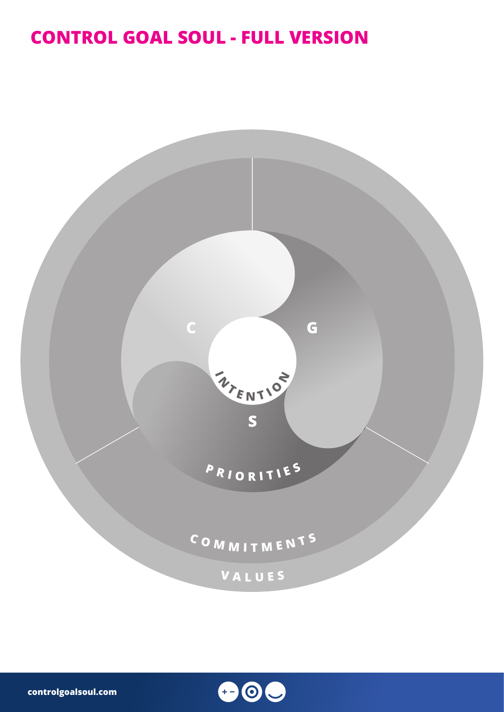### **CONTROL GOAL SOUL - FULL VERSION**